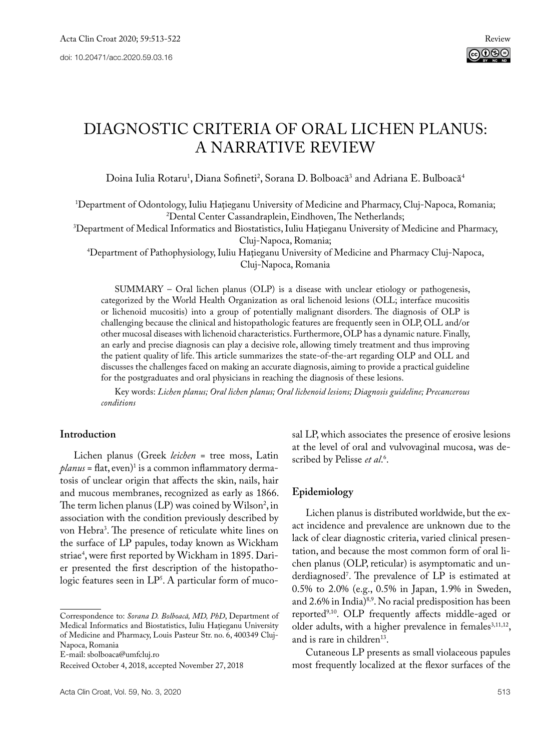# Diagnostic Criteria of Oral Lichen Planus: A Narrative Review

Doina Iulia Rotaru<sup>1</sup>, Diana Sofineti<sup>2</sup>, Sorana D. Bolboacă<sup>3</sup> and Adriana E. Bulboacă<sup>4</sup>

1 Department of Odontology, Iuliu Haţieganu University of Medicine and Pharmacy, Cluj-Napoca, Romania; 2

Dental Center Cassandraplein, Eindhoven, The Netherlands; 3 Department of Medical Informatics and Biostatistics, Iuliu Haţieganu University of Medicine and Pharmacy,

Cluj-Napoca, Romania; 4 Department of Pathophysiology, Iuliu Haţieganu University of Medicine and Pharmacy Cluj-Napoca, Cluj-Napoca, Romania

SUMMARY – Oral lichen planus (OLP) is a disease with unclear etiology or pathogenesis, categorized by the World Health Organization as oral lichenoid lesions (OLL; interface mucositis or lichenoid mucositis) into a group of potentially malignant disorders. The diagnosis of OLP is challenging because the clinical and histopathologic features are frequently seen in OLP, OLL and/or other mucosal diseases with lichenoid characteristics. Furthermore, OLP has a dynamic nature. Finally, an early and precise diagnosis can play a decisive role, allowing timely treatment and thus improving the patient quality of life. This article summarizes the state-of-the-art regarding OLP and OLL and discusses the challenges faced on making an accurate diagnosis, aiming to provide a practical guideline for the postgraduates and oral physicians in reaching the diagnosis of these lesions.

Key words: *Lichen planus; Oral lichen planus; Oral lichenoid lesions; Diagnosis guideline; Precancerous conditions*

# **Introduction**

Lichen planus (Greek *leichen* = tree moss, Latin *planus* = flat, even)1 is a common inflammatory dermatosis of unclear origin that affects the skin, nails, hair and mucous membranes, recognized as early as 1866. The term lichen planus (LP) was coined by Wilson<sup>2</sup>, in association with the condition previously described by von Hebra3 . The presence of reticulate white lines on the surface of LP papules, today known as Wickham striae4 , were first reported by Wickham in 1895. Darier presented the first description of the histopathologic features seen in  $LP^{\mathsf{s}}$ . A particular form of mucosal LP, which associates the presence of erosive lesions at the level of oral and vulvovaginal mucosa, was described by Pelisse *et al*. 6 .

# **Epidemiology**

Lichen planus is distributed worldwide, but the exact incidence and prevalence are unknown due to the lack of clear diagnostic criteria, varied clinical presentation, and because the most common form of oral lichen planus (OLP, reticular) is asymptomatic and underdiagnosed7 . The prevalence of LP is estimated at 0.5% to 2.0% (e.g., 0.5% in Japan, 1.9% in Sweden, and 2.6% in India)<sup>8,9</sup>. No racial predisposition has been reported9,10. OLP frequently affects middle-aged or older adults, with a higher prevalence in females<sup>3,11,12</sup>, and is rare in children<sup>13</sup>.

Cutaneous LP presents as small violaceous papules most frequently localized at the flexor surfaces of the

Correspondence to: *Sorana D. Bolboacă, MD, PhD*, Department of Medical Informatics and Biostatistics, Iuliu Haţieganu University of Medicine and Pharmacy, Louis Pasteur Str. no. 6, 400349 Cluj-Napoca, Romania

E-mail: sbolboaca@umfcluj.ro

Received October 4, 2018, accepted November 27, 2018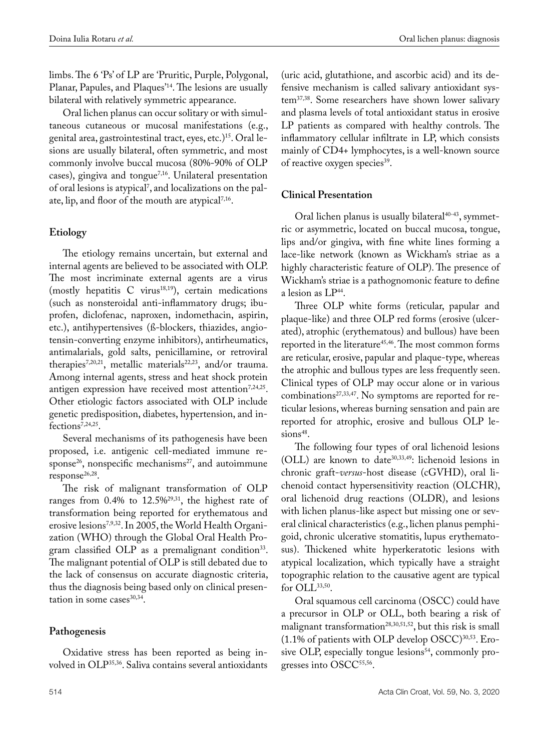limbs. The 6 'Ps' of LP are 'Pruritic, Purple, Polygonal, Planar, Papules, and Plaques'14. The lesions are usually bilateral with relatively symmetric appearance.

Oral lichen planus can occur solitary or with simultaneous cutaneous or mucosal manifestations (e.g., genital area, gastrointestinal tract, eyes, etc.)15. Oral lesions are usually bilateral, often symmetric, and most commonly involve buccal mucosa (80%-90% of OLP cases), gingiva and tongue<sup> $7,16$ </sup>. Unilateral presentation of oral lesions is atypical<sup>7</sup>, and localizations on the palate, lip, and floor of the mouth are atypical<sup>7,16</sup>.

# **Etiology**

The etiology remains uncertain, but external and internal agents are believed to be associated with OLP. The most incriminate external agents are a virus (mostly hepatitis C virus<sup>18,19</sup>), certain medications (such as nonsteroidal anti-inflammatory drugs; ibuprofen, diclofenac, naproxen, indomethacin, aspirin, etc.), antihypertensives (ß-blockers, thiazides, angiotensin-converting enzyme inhibitors), antirheumatics, antimalarials, gold salts, penicillamine, or retroviral therapies<sup>7,20,21</sup>, metallic materials<sup>22,23</sup>, and/or trauma. Among internal agents, stress and heat shock protein antigen expression have received most attention<sup>7,24,25</sup>. Other etiologic factors associated with OLP include genetic predisposition, diabetes, hypertension, and infections<sup>7,24,25</sup>.

Several mechanisms of its pathogenesis have been proposed, i.e. antigenic cell-mediated immune response<sup>26</sup>, nonspecific mechanisms<sup>27</sup>, and autoimmune response<sup>26,28</sup>.

The risk of malignant transformation of OLP ranges from 0.4% to 12.5%29,31, the highest rate of transformation being reported for erythematous and erosive lesions<sup>7,9,32</sup>. In 2005, the World Health Organization (WHO) through the Global Oral Health Program classified OLP as a premalignant condition<sup>33</sup>. The malignant potential of OLP is still debated due to the lack of consensus on accurate diagnostic criteria, thus the diagnosis being based only on clinical presentation in some cases<sup>30,34</sup>.

# **Pathogenesis**

Oxidative stress has been reported as being involved in OLP35,36. Saliva contains several antioxidants

(uric acid, glutathione, and ascorbic acid) and its defensive mechanism is called salivary antioxidant system37,38. Some researchers have shown lower salivary and plasma levels of total antioxidant status in erosive LP patients as compared with healthy controls. The inflammatory cellular infiltrate in LP, which consists mainly of CD4+ lymphocytes, is a well-known source of reactive oxygen species<sup>39</sup>.

# **Clinical Presentation**

Oral lichen planus is usually bilateral $40-43$ , symmetric or asymmetric, located on buccal mucosa, tongue, lips and/or gingiva, with fine white lines forming a lace-like network (known as Wickham's striae as a highly characteristic feature of OLP). The presence of Wickham's striae is a pathognomonic feature to define a lesion as LP<sup>44</sup>.

Three OLP white forms (reticular, papular and plaque-like) and three OLP red forms (erosive (ulcerated), atrophic (erythematous) and bullous) have been reported in the literature<sup>45,46</sup>. The most common forms are reticular, erosive, papular and plaque-type, whereas the atrophic and bullous types are less frequently seen. Clinical types of OLP may occur alone or in various combinations27,33,47. No symptoms are reported for reticular lesions, whereas burning sensation and pain are reported for atrophic, erosive and bullous OLP lesions<sup>48</sup>.

The following four types of oral lichenoid lesions (OLL) are known to date<sup>30,33,49</sup>: lichenoid lesions in chronic graft-*versus*-host disease (cGVHD), oral lichenoid contact hypersensitivity reaction (OLCHR), oral lichenoid drug reactions (OLDR), and lesions with lichen planus-like aspect but missing one or several clinical characteristics (e.g., lichen planus pemphigoid, chronic ulcerative stomatitis, lupus erythematosus). Thickened white hyperkeratotic lesions with atypical localization, which typically have a straight topographic relation to the causative agent are typical for  $OLL^{33,50}$ .

Oral squamous cell carcinoma (OSCC) could have a precursor in OLP or OLL, both bearing a risk of malignant transformation<sup>28,30,51,52</sup>, but this risk is small  $(1.1\%$  of patients with OLP develop OSCC) $30,53$ . Erosive OLP, especially tongue lesions $54$ , commonly progresses into OSCC<sup>55,56</sup>.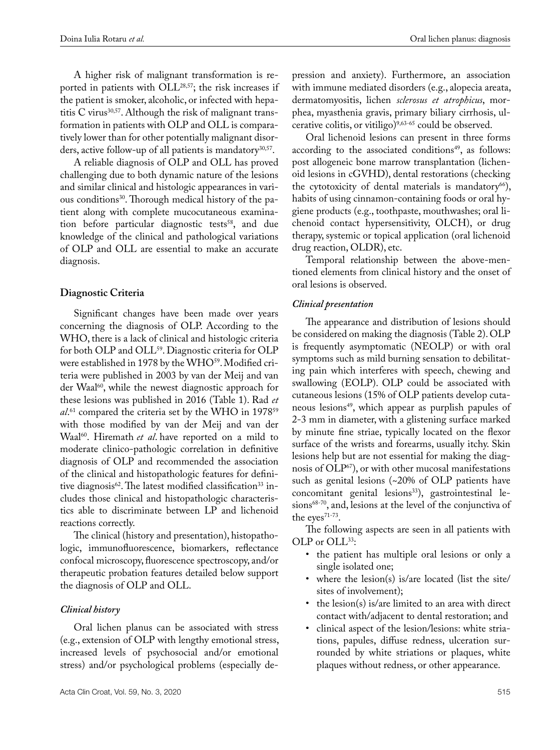A higher risk of malignant transformation is reported in patients with OLL<sup>28,57</sup>; the risk increases if the patient is smoker, alcoholic, or infected with hepatitis C virus<sup>30,57</sup>. Although the risk of malignant transformation in patients with OLP and OLL is comparatively lower than for other potentially malignant disorders, active follow-up of all patients is mandatory<sup>30,57</sup>.

A reliable diagnosis of OLP and OLL has proved challenging due to both dynamic nature of the lesions and similar clinical and histologic appearances in various conditions<sup>30</sup>. Thorough medical history of the patient along with complete mucocutaneous examination before particular diagnostic tests<sup>58</sup>, and due knowledge of the clinical and pathological variations of OLP and OLL are essential to make an accurate diagnosis.

# **Diagnostic Criteria**

Significant changes have been made over years concerning the diagnosis of OLP. According to the WHO, there is a lack of clinical and histologic criteria for both OLP and OLL<sup>59</sup>. Diagnostic criteria for OLP were established in 1978 by the WHO<sup>59</sup>. Modified criteria were published in 2003 by van der Meij and van der Waal<sup>60</sup>, while the newest diagnostic approach for these lesions was published in 2016 (Table 1). Rad *et*  al.<sup>61</sup> compared the criteria set by the WHO in 1978<sup>59</sup> with those modified by van der Meij and van der Waal<sup>60</sup>. Hiremath *et al*. have reported on a mild to moderate clinico-pathologic correlation in definitive diagnosis of OLP and recommended the association of the clinical and histopathologic features for definitive diagnosis<sup>62</sup>. The latest modified classification<sup>33</sup> includes those clinical and histopathologic characteristics able to discriminate between LP and lichenoid reactions correctly.

The clinical (history and presentation), histopathologic, immunofluorescence, biomarkers, reflectance confocal microscopy, fluorescence spectroscopy, and/or therapeutic probation features detailed below support the diagnosis of OLP and OLL.

# *Clinical history*

Oral lichen planus can be associated with stress (e.g., extension of OLP with lengthy emotional stress, increased levels of psychosocial and/or emotional stress) and/or psychological problems (especially de-

pression and anxiety). Furthermore, an association with immune mediated disorders (e.g., alopecia areata, dermatomyositis, lichen *sclerosus et atrophicus*, morphea, myasthenia gravis, primary biliary cirrhosis, ulcerative colitis, or vitiligo)<sup>9,63-65</sup> could be observed.

Oral lichenoid lesions can present in three forms according to the associated conditions<sup>49</sup>, as follows: post allogeneic bone marrow transplantation (lichenoid lesions in cGVHD), dental restorations (checking the cytotoxicity of dental materials is mandatory $66$ ), habits of using cinnamon-containing foods or oral hygiene products (e.g., toothpaste, mouthwashes; oral lichenoid contact hypersensitivity, OLCH), or drug therapy, systemic or topical application (oral lichenoid drug reaction, OLDR), etc.

Temporal relationship between the above-mentioned elements from clinical history and the onset of oral lesions is observed.

### *Clinical presentation*

The appearance and distribution of lesions should be considered on making the diagnosis (Table 2). OLP is frequently asymptomatic (NEOLP) or with oral symptoms such as mild burning sensation to debilitating pain which interferes with speech, chewing and swallowing (EOLP). OLP could be associated with cutaneous lesions (15% of OLP patients develop cutaneous lesions<sup>49</sup>, which appear as purplish papules of 2-3 mm in diameter, with a glistening surface marked by minute fine striae, typically located on the flexor surface of the wrists and forearms, usually itchy. Skin lesions help but are not essential for making the diagnosis of OLP67), or with other mucosal manifestations such as genital lesions (~20% of OLP patients have concomitant genital lesions<sup>33</sup>), gastrointestinal lesions<sup>68-70</sup>, and, lesions at the level of the conjunctiva of the eyes<sup>71-73</sup>.

The following aspects are seen in all patients with OLP or OLL<sup>33</sup>:

- the patient has multiple oral lesions or only a single isolated one;
- where the lesion(s) is/are located (list the site/ sites of involvement);
- the lesion(s) is/are limited to an area with direct contact with/adjacent to dental restoration; and
- clinical aspect of the lesion/lesions: white striations, papules, diffuse redness, ulceration surrounded by white striations or plaques, white plaques without redness, or other appearance.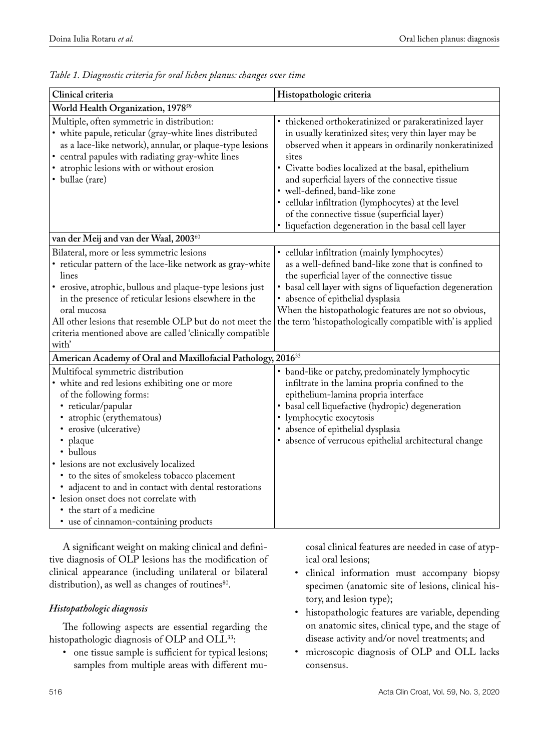| Clinical criteria                                                                                                                                                                                                                                                                                                                                                                                                                                                                          | Histopathologic criteria                                                                                                                                                                                                                                                                                                                                                                                                                                                                 |  |  |
|--------------------------------------------------------------------------------------------------------------------------------------------------------------------------------------------------------------------------------------------------------------------------------------------------------------------------------------------------------------------------------------------------------------------------------------------------------------------------------------------|------------------------------------------------------------------------------------------------------------------------------------------------------------------------------------------------------------------------------------------------------------------------------------------------------------------------------------------------------------------------------------------------------------------------------------------------------------------------------------------|--|--|
| World Health Organization, 1978 <sup>59</sup>                                                                                                                                                                                                                                                                                                                                                                                                                                              |                                                                                                                                                                                                                                                                                                                                                                                                                                                                                          |  |  |
| Multiple, often symmetric in distribution:<br>• white papule, reticular (gray-white lines distributed<br>as a lace-like network), annular, or plaque-type lesions<br>• central papules with radiating gray-white lines<br>• atrophic lesions with or without erosion<br>• bullae (rare)                                                                                                                                                                                                    | • thickened orthokeratinized or parakeratinized layer<br>in usually keratinized sites; very thin layer may be<br>observed when it appears in ordinarily nonkeratinized<br>sites<br>• Civatte bodies localized at the basal, epithelium<br>and superficial layers of the connective tissue<br>· well-defined, band-like zone<br>· cellular infiltration (lymphocytes) at the level<br>of the connective tissue (superficial layer)<br>· liquefaction degeneration in the basal cell layer |  |  |
| van der Meij and van der Waal, 200360<br>Bilateral, more or less symmetric lesions                                                                                                                                                                                                                                                                                                                                                                                                         | · cellular infiltration (mainly lymphocytes)                                                                                                                                                                                                                                                                                                                                                                                                                                             |  |  |
| • reticular pattern of the lace-like network as gray-white<br>lines<br>• erosive, atrophic, bullous and plaque-type lesions just<br>in the presence of reticular lesions elsewhere in the<br>oral mucosa<br>All other lesions that resemble OLP but do not meet the<br>criteria mentioned above are called 'clinically compatible                                                                                                                                                          | as a well-defined band-like zone that is confined to<br>the superficial layer of the connective tissue<br>• basal cell layer with signs of liquefaction degeneration<br>· absence of epithelial dysplasia<br>When the histopathologic features are not so obvious,<br>the term 'histopathologically compatible with' is applied                                                                                                                                                          |  |  |
| with'<br>American Academy of Oral and Maxillofacial Pathology, 2016 <sup>33</sup>                                                                                                                                                                                                                                                                                                                                                                                                          |                                                                                                                                                                                                                                                                                                                                                                                                                                                                                          |  |  |
| Multifocal symmetric distribution<br>• white and red lesions exhibiting one or more<br>of the following forms:<br>• reticular/papular<br>· atrophic (erythematous)<br>· erosive (ulcerative)<br>• plaque<br>• bullous<br>• lesions are not exclusively localized<br>• to the sites of smokeless tobacco placement<br>• adjacent to and in contact with dental restorations<br>• lesion onset does not correlate with<br>• the start of a medicine<br>• use of cinnamon-containing products | • band-like or patchy, predominately lymphocytic<br>infiltrate in the lamina propria confined to the<br>epithelium-lamina propria interface<br>· basal cell liquefactive (hydropic) degeneration<br>• lymphocytic exocytosis<br>· absence of epithelial dysplasia<br>· absence of verrucous epithelial architectural change                                                                                                                                                              |  |  |

*Table 1. Diagnostic criteria for oral lichen planus: changes over time*

A significant weight on making clinical and definitive diagnosis of OLP lesions has the modification of clinical appearance (including unilateral or bilateral distribution), as well as changes of routines<sup>80</sup>.

# *Histopathologic diagnosis*

The following aspects are essential regarding the histopathologic diagnosis of OLP and OLL<sup>33</sup>:

• one tissue sample is sufficient for typical lesions; samples from multiple areas with different mucosal clinical features are needed in case of atypical oral lesions;

- • clinical information must accompany biopsy specimen (anatomic site of lesions, clinical history, and lesion type);
- • histopathologic features are variable, depending on anatomic sites, clinical type, and the stage of disease activity and/or novel treatments; and
- • microscopic diagnosis of OLP and OLL lacks consensus.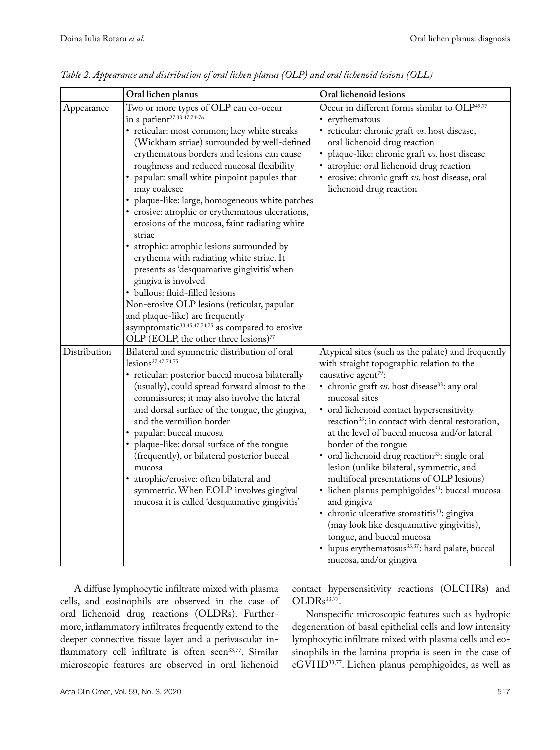|              | Oral lichen planus                                                                                                                                                                                                                                                                                                                                                                                                                                                                                                                                                                                                                                                                                                                                                                                                                                                                                         | Oral lichenoid lesions                                                                                                                                                                                                                                                                                                                                                                                                                                                                                                                                                                                                                                                                                                                                                                                                                                                 |
|--------------|------------------------------------------------------------------------------------------------------------------------------------------------------------------------------------------------------------------------------------------------------------------------------------------------------------------------------------------------------------------------------------------------------------------------------------------------------------------------------------------------------------------------------------------------------------------------------------------------------------------------------------------------------------------------------------------------------------------------------------------------------------------------------------------------------------------------------------------------------------------------------------------------------------|------------------------------------------------------------------------------------------------------------------------------------------------------------------------------------------------------------------------------------------------------------------------------------------------------------------------------------------------------------------------------------------------------------------------------------------------------------------------------------------------------------------------------------------------------------------------------------------------------------------------------------------------------------------------------------------------------------------------------------------------------------------------------------------------------------------------------------------------------------------------|
| Appearance   | Two or more types of OLP can co-occur<br>in a patient $27,33,47,74-76$<br>· reticular: most common; lacy white streaks<br>(Wickham striae) surrounded by well-defined<br>erythematous borders and lesions can cause<br>roughness and reduced mucosal flexibility<br>• papular: small white pinpoint papules that<br>may coalesce<br>plaque-like: large, homogeneous white patches<br>• erosive: atrophic or erythematous ulcerations,<br>erosions of the mucosa, faint radiating white<br>striae<br>• atrophic: atrophic lesions surrounded by<br>erythema with radiating white striae. It<br>presents as 'desquamative gingivitis' when<br>gingiva is involved<br>• bullous: fluid-filled lesions<br>Non-erosive OLP lesions (reticular, papular<br>and plaque-like) are frequently<br>asymptomatic <sup>33,45,47,74,75</sup> as compared to erosive<br>OLP (EOLP, the other three lesions) <sup>77</sup> | Occur in different forms similar to OLP <sup>49,77</sup><br>• erythematous<br>• reticular: chronic graft vs. host disease,<br>oral lichenoid drug reaction<br>plaque-like: chronic graft vs. host disease<br>atrophic: oral lichenoid drug reaction<br>· erosive: chronic graft vs. host disease, oral<br>lichenoid drug reaction                                                                                                                                                                                                                                                                                                                                                                                                                                                                                                                                      |
| Distribution | Bilateral and symmetric distribution of oral<br>$lcsions^{27,47,74,75}$<br>· reticular: posterior buccal mucosa bilaterally<br>(usually), could spread forward almost to the<br>commissures; it may also involve the lateral<br>and dorsal surface of the tongue, the gingiva,<br>and the vermilion border<br>papular: buccal mucosa<br>plaque-like: dorsal surface of the tongue<br>(frequently), or bilateral posterior buccal<br>mucosa<br>• atrophic/erosive: often bilateral and<br>symmetric. When EOLP involves gingival<br>mucosa it is called 'desquamative gingivitis'                                                                                                                                                                                                                                                                                                                           | Atypical sites (such as the palate) and frequently<br>with straight topographic relation to the<br>causative agent <sup>79</sup> :<br>• chronic graft vs. host disease <sup>33</sup> : any oral<br>mucosal sites<br>• oral lichenoid contact hypersensitivity<br>reaction <sup>33</sup> : in contact with dental restoration,<br>at the level of buccal mucosa and/or lateral<br>border of the tongue<br>• oral lichenoid drug reaction <sup>33</sup> : single oral<br>lesion (unlike bilateral, symmetric, and<br>multifocal presentations of OLP lesions)<br>· lichen planus pemphigoides <sup>33</sup> : buccal mucosa<br>and gingiva<br>· chronic ulcerative stomatitis <sup>33</sup> : gingiva<br>(may look like desquamative gingivitis),<br>tongue, and buccal mucosa<br>• lupus erythematosus <sup>33,37</sup> : hard palate, buccal<br>mucosa, and/or gingiva |

*Table 2. Appearance and distribution of oral lichen planus (OLP) and oral lichenoid lesions (OLL)*

A diffuse lymphocytic infiltrate mixed with plasma cells, and eosinophils are observed in the case of oral lichenoid drug reactions (OLDRs). Furthermore, inflammatory infiltrates frequently extend to the deeper connective tissue layer and a perivascular inflammatory cell infiltrate is often seen<sup>33,77</sup>. Similar microscopic features are observed in oral lichenoid

contact hypersensitivity reactions (OLCHRs) and OLDRs<sup>33,77</sup>.

Nonspecific microscopic features such as hydropic degeneration of basal epithelial cells and low intensity lymphocytic infiltrate mixed with plasma cells and eosinophils in the lamina propria is seen in the case of cGVHD33,77. Lichen planus pemphigoides, as well as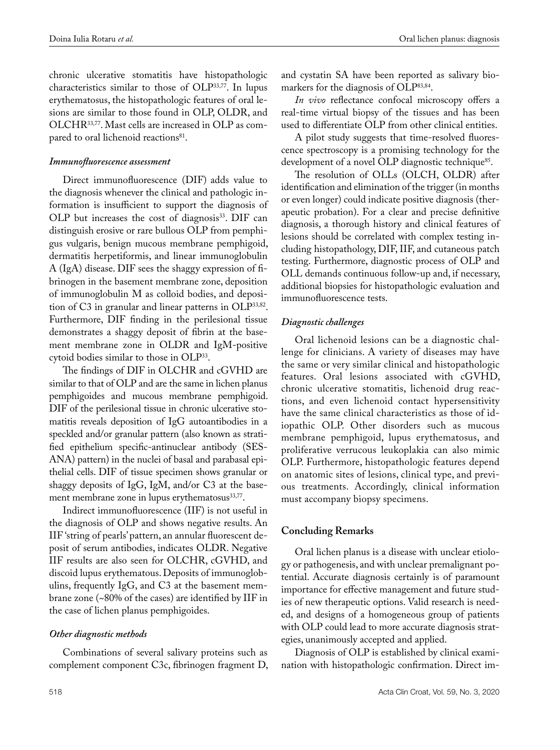chronic ulcerative stomatitis have histopathologic characteristics similar to those of OLP33,77. In lupus erythematosus, the histopathologic features of oral lesions are similar to those found in OLP, OLDR, and OLCHR33,77. Mast cells are increased in OLP as compared to oral lichenoid reactions<sup>81</sup>.

### *Immunofluorescence assessment*

Direct immunofluorescence (DIF) adds value to the diagnosis whenever the clinical and pathologic information is insufficient to support the diagnosis of OLP but increases the cost of diagnosis<sup>33</sup>. DIF can distinguish erosive or rare bullous OLP from pemphigus vulgaris, benign mucous membrane pemphigoid, dermatitis herpetiformis, and linear immunoglobulin A (IgA) disease. DIF sees the shaggy expression of fibrinogen in the basement membrane zone, deposition of immunoglobulin M as colloid bodies, and deposition of C3 in granular and linear patterns in OLP33,82. Furthermore, DIF finding in the perilesional tissue demonstrates a shaggy deposit of [fibrin](https://www.sciencedirect.com/topics/medicine-and-dentistry/fibrin) at the [base](https://www.sciencedirect.com/topics/medicine-and-dentistry/basement-membrane)[ment membrane zone](https://www.sciencedirect.com/topics/medicine-and-dentistry/basement-membrane) in OLDR and IgM-positive cytoid bodies similar to those in OLP33.

The findings of DIF in OLCHR and cGVHD are similar to that of OLP and are the same in lichen planus pemphigoides and mucous membrane pemphigoid. DIF of the perilesional tissue in chronic ulcerative stomatitis reveals deposition of IgG autoantibodies in a speckled and/or granular pattern (also known as stratified epithelium specific-antinuclear antibody (SES-ANA) pattern) in the nuclei of basal and parabasal epithelial cells. DIF of tissue specimen shows granular or shaggy deposits of IgG, IgM, and/or C3 at the basement membrane zone in lupus erythematosus<sup>33,77</sup>.

Indirect immunofluorescence (IIF) is not useful in the diagnosis of OLP and shows negative results. An IIF 'string of pearls' pattern, an annular fluorescent deposit of serum antibodies, indicates OLDR. Negative IIF results are also seen for OLCHR, cGVHD, and discoid lupus erythematous. Deposits of immunoglobulins, frequently IgG, and C3 at the basement membrane zone (~80% of the cases) are identified by IIF in the case of lichen planus pemphigoides.

# *Other diagnostic methods*

Combinations of several salivary proteins such as complement component C3c, fibrinogen fragment D, and cystatin SA have been reported as salivary biomarkers for the diagnosis of OLP83,84.

*In vivo* reflectance confocal microscopy offers a real-time virtual biopsy of the tissues and has been used to differentiate OLP from other clinical entities.

A pilot study suggests that time-resolved fluorescence spectroscopy is a promising technology for the development of a novel OLP diagnostic technique<sup>85</sup>.

The resolution of OLLs (OLCH, OLDR) after identification and elimination of the trigger (in months or even longer) could indicate positive diagnosis (therapeutic probation). For a clear and precise definitive diagnosis, a thorough history and clinical features of lesions should be correlated with complex testing including histopathology, DIF, IIF, and cutaneous patch testing. Furthermore, diagnostic process of OLP and OLL demands continuous follow-up and, if necessary, additional biopsies for histopathologic evaluation and immunofluorescence tests.

# *Diagnostic challenges*

Oral lichenoid lesions can be a diagnostic challenge for clinicians. A variety of diseases may have the same or very similar clinical and histopathologic features. Oral lesions associated with cGVHD, chronic ulcerative stomatitis, lichenoid drug reactions, and even lichenoid contact hypersensitivity have the same clinical characteristics as those of idiopathic OLP. Other disorders such as mucous membrane pemphigoid, lupus erythematosus, and proliferative verrucous leukoplakia can also mimic OLP. Furthermore, histopathologic features depend on anatomic sites of lesions, clinical type, and previous treatments. Accordingly, clinical information must accompany biopsy specimens.

# **Concluding Remarks**

Oral lichen planus is a disease with unclear etiology or pathogenesis, and with unclear premalignant potential. Accurate diagnosis certainly is of paramount importance for effective management and future studies of new therapeutic options. Valid research is needed, and designs of a homogeneous group of patients with OLP could lead to more accurate diagnosis strategies, unanimously accepted and applied.

Diagnosis of OLP is established by clinical examination with histopathologic confirmation. Direct im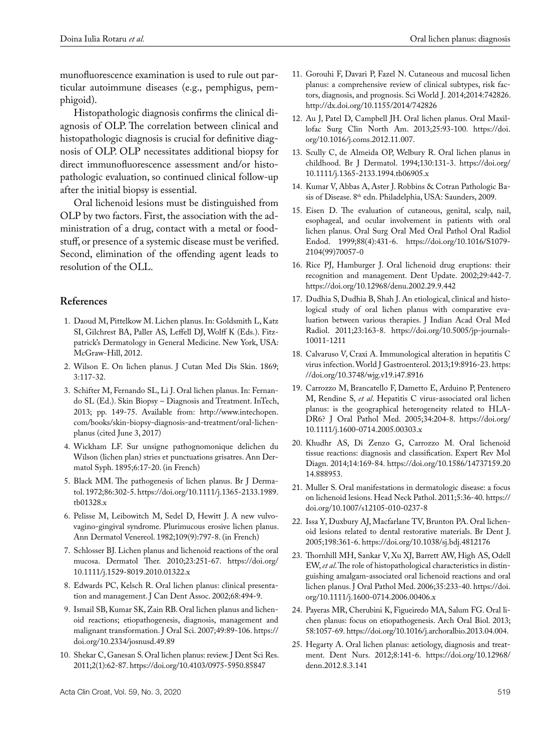munofluorescence examination is used to rule out particular autoimmune diseases (e.g., pemphigus, pemphigoid).

Histopathologic diagnosis confirms the clinical diagnosis of OLP. The correlation between clinical and histopathologic diagnosis is crucial for definitive diagnosis of OLP. OLP necessitates additional biopsy for direct immunofluorescence assessment and/or histopathologic evaluation, so continued clinical follow-up after the initial biopsy is essential.

Oral lichenoid lesions must be distinguished from OLP by two factors. First, the association with the administration of a drug, contact with a metal or foodstuff, or presence of a systemic disease must be verified. Second, elimination of the offending agent leads to resolution of the OLL.

### **References**

- 1. Daoud M, Pittelkow M. Lichen planus. In: Goldsmith L, Katz SI, Gilchrest BA, Paller AS, Leffell DJ, Wolff K (Eds.). Fitzpatrick's Dermatology in General Medicine. New York, USA: McGraw-Hill, 2012.
- 2. Wilson E. On lichen planus. J Cutan Med Dis Skin. 1869; 3:117-32.
- 3. Schifter M, Fernando SL, Li J. Oral lichen planus. In: Fernando SL (Ed.). Skin Biopsy – Diagnosis and Treatment. InTech, 2013; pp. 149-75. Available from: http://www.intechopen. com/books/skin-biopsy-diagnosis-and-treatment/oral-lichenplanus (cited June 3, 2017)
- 4. Wickham LF. Sur unsigne pathognomonique delichen du Wilson (lichen plan) stries et punctuations grisatres. Ann Dermatol Syph. 1895;6:17-20. (in French)
- 5. Black MM. The pathogenesis of lichen planus. Br J Dermatol. 1972;86:302-5. https://doi.org/10.1111/j.1365-2133.1989. tb01328.x
- 6. Pelisse M, Leibowitch M, Sedel D, Hewitt J. A new vulvovagino-gingival syndrome. Plurimucous erosive lichen planus. Ann Dermatol Venereol. 1982;109(9):797-8. (in French)
- 7. Schlosser BJ. Lichen planus and lichenoid reactions of the oral mucosa. Dermatol Ther. 2010;23:251-67. https://doi.org/ 10.1111/j.1529-8019.2010.01322.x
- 8. Edwards PC, Kelsch R. Oral lichen planus: clinical presentation and management. J Can Dent Assoc. 2002;68:494-9.
- 9. Ismail SB, Kumar SK, Zain RB. Oral lichen planus and lichenoid reactions; etiopathogenesis, diagnosis, management and malignant transformation. J Oral Sci. 2007;49:89-106. https:// doi.org/10.2334/josnusd.49.89
- 10. Shekar C, Ganesan S. Oral lichen planus: review. J Dent Sci Res. 2011;2(1):62-87. https://doi.org/10.4103/0975-5950.85847
- 11. Gorouhi F, Davari P, Fazel N. Cutaneous and mucosal lichen planus: a comprehensive review of clinical subtypes, risk factors, diagnosis, and prognosis. Sci World J. 2014;2014:742826. http://dx.doi.org/10.1155/2014/742826
- 12. Au J, Patel D, Campbell JH. Oral lichen planus. Oral Maxillofac Surg Clin North Am. 2013;25:93-100. https://doi. org/10.1016/j.coms.2012.11.007.
- 13. Scully C, de Almeida OP, Welbury R. Oral lichen planus in childhood. Br J Dermatol. 1994;130:131-3. https://doi.org/ 10.1111/j.1365-2133.1994.tb06905.x
- 14. Kumar V, Abbas A, Aster J. Robbins & Cotran Pathologic Basis of Disease. 8<sup>th</sup> edn. Philadelphia, USA: Saunders, 2009.
- 15. Eisen D. The evaluation of cutaneous, genital, scalp, nail, esophageal, and ocular involvement in patients with oral lichen planus. Oral Surg Oral Med Oral Pathol Oral Radiol Endod. 1999;88(4):431-6. https://doi.org/10.1016/S1079- 2104(99)70057-0
- 16. Rice PJ, Hamburger J. Oral lichenoid drug eruptions: their recognition and management. Dent Update. 2002;29:442-7. https://doi.org/10.12968/denu.2002.29.9.442
- 17. Dudhia S, Dudhia B, Shah J. An etiological, clinical and histological study of oral lichen planus with comparative evaluation between various therapies. J Indian Acad Oral Med Radiol. 2011;23:163-8. https://doi.org/10.5005/jp-journals-10011-1211
- 18. Calvaruso V, Craxi A. Immunological alteration in hepatitis C virus infection. World J Gastroenterol. 2013;19:8916-23. https: //doi.org/10.3748/wjg.v19.i47.8916
- 19. Carrozzo M, Brancatello F, Dametto E, Arduino P, Pentenero M, Rendine S, *et al*. Hepatitis C virus-associated oral lichen planus: is the geographical heterogeneity related to HLA-DR6? J Oral Pathol Med. 2005;34:204-8. https://doi.org/ 10.1111/j.1600-0714.2005.00303.x
- 20. Khudhr AS, Di Zenzo G, Carrozzo M. Oral lichenoid tissue reactions: diagnosis and classification. Expert Rev Mol Diagn. 2014;14:169-84. https://doi.org/10.1586/14737159.20 14.888953.
- 21. Muller S. Oral manifestations in dermatologic disease: a focus on lichenoid lesions. Head Neck Pathol. 2011;5:36-40. https:// doi.org/10.1007/s12105-010-0237-8
- 22. Issa Y, Duxbury AJ, Macfarlane TV, Brunton PA. Oral lichenoid lesions related to dental restorative materials. Br Dent J. 2005;198:361-6. https://doi.org/10.1038/sj.bdj.4812176
- 23. Thornhill MH, Sankar V, Xu XJ, Barrett AW, High AS, Odell EW, *et al*. The role of histopathological characteristics in distinguishing amalgam-associated oral lichenoid reactions and oral lichen planus. J Oral Pathol Med. 2006;35:233-40. https://doi. org/10.1111/j.1600-0714.2006.00406.x
- 24. Payeras MR, Cherubini K, Figueiredo MA, Salum FG. Oral lichen planus: focus on etiopathogenesis. Arch Oral Biol. 2013; 58:1057-69. https://doi.org/10.1016/j.archoralbio.2013.04.004.
- 25. Hegarty A. Oral lichen planus: aetiology, diagnosis and treatment. Dent Nurs. 2012;8:141-6. https://doi.org/10.12968/ denn.2012.8.3.141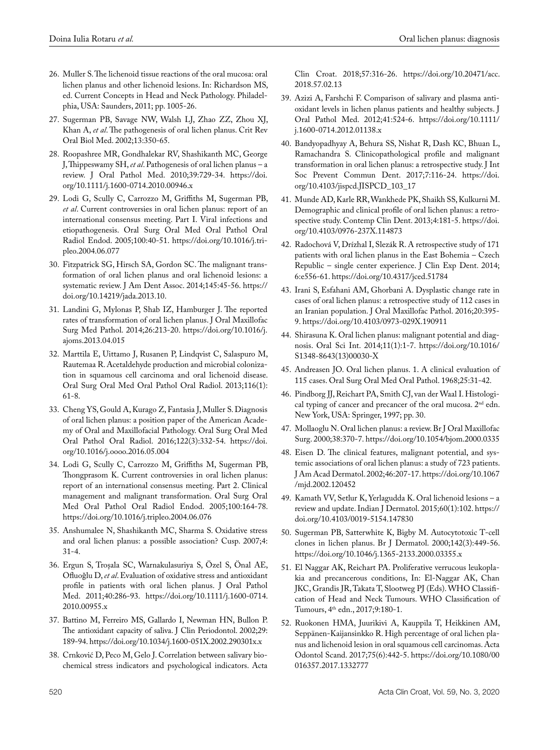- 26. Muller S. The lichenoid tissue reactions of the oral mucosa: oral lichen planus and other lichenoid lesions. In: Richardson MS, ed. Current Concepts in Head and Neck Pathology. Philadelphia, USA: Saunders, 2011; pp. 1005-26.
- 27. Sugerman PB, Savage NW, Walsh LJ, Zhao ZZ, Zhou XJ, Khan A, *et al*. The pathogenesis of oral lichen planus. Crit Rev Oral Biol Med. 2002;13:350-65.
- 28. Roopashree MR, Gondhalekar RV, Shashikanth MC, George J, Thippeswamy SH, *et al*. Pathogenesis of oral lichen planus – a review. J Oral Pathol Med. 2010;39:729-34. https://doi. org/10.1111/j.1600-0714.2010.00946.x
- 29. Lodi G, Scully C, Carrozzo M, Griffiths M, Sugerman PB, *et al*. Current controversies in oral lichen planus: report of an international consensus meeting. Part I. Viral infections and etiopathogenesis. Oral Surg Oral Med Oral Pathol Oral Radiol Endod. 2005;100:40-51. https://doi.org/10.1016/j.tripleo.2004.06.077
- 30. Fitzpatrick SG, Hirsch SA, Gordon SC. The malignant transformation of oral lichen planus and oral lichenoid lesions: a systematic review. J Am Dent Assoc. 2014;145:45-56. https:// doi.org/10.14219/jada.2013.10.
- 31. Landini G, Mylonas P, Shab IZ, Hamburger J. The reported rates of transformation of oral lichen planus. J Oral Maxillofac Surg Med Pathol. 2014;26:213-20. https://doi.org/10.1016/j. ajoms.2013.04.015
- 32. Marttila E, Uittamo J, Rusanen P, Lindqvist C, Salaspuro M, Rautemaa R. Acetaldehyde production and microbial colonization in squamous cell carcinoma and oral lichenoid disease. Oral Surg Oral Med Oral Pathol Oral Radiol. 2013;116(1): 61-8.
- 33. Cheng YS, Gould A, Kurago Z, Fantasia J, Muller S. Diagnosis of oral lichen planus: a position paper of the American Academy of Oral and Maxillofacial Pathology. Oral Surg Oral Med Oral Pathol Oral Radiol. 2016;122(3):332-54. https://doi. org/10.1016/j.oooo.2016.05.004
- 34. Lodi G, Scully C, Carrozzo M, Griffiths M, Sugerman PB, Thongprasom K. Current controversies in oral lichen planus: report of an international consensus meeting. Part 2. Clinical management and malignant transformation. Oral Surg Oral Med Oral Pathol Oral Radiol Endod. 2005;100:164-78. https://doi.org/10.1016/j.tripleo.2004.06.076
- 35. Anshumalee N, Shashikanth MC, Sharma S. Oxidative stress and oral lichen planus: a possible association? Cusp. 2007;4: 31-4.
- 36. Ergun S, Troşala SC, Warnakulasuriya S, Özel S, Önal AE, Ofluoǧlu D, *et al*. Evaluation of oxidative stress and antioxidant profile in patients with oral lichen planus. J Oral Pathol Med. 2011;40:286-93. https://doi.org/10.1111/j.1600-0714. 2010.00955.x
- 37. Battino M, Ferreiro MS, Gallardo I, Newman HN, Bullon P. The antioxidant capacity of saliva. J Clin Periodontol. 2002;29: 189-94. https://doi.org/10.1034/j.1600-051X.2002.290301x.x
- 38. Crnković D, Peco M, Gelo J. Correlation between salivary biochemical stress indicators and psychological indicators. Acta

Clin Croat. 2018;57:316-26. https://doi.org/10.20471/acc. 2018.57.02.13

- 39. Azizi A, Farshchi F. Comparison of salivary and plasma antioxidant levels in lichen planus patients and healthy subjects. J Oral Pathol Med. 2012;41:524-6. https://doi.org/10.1111/ j.1600-0714.2012.01138.x
- 40. Bandyopadhyay A, Behura SS, Nishat R, Dash KC, Bhuan L, Ramachandra S. Clinicopathological profile and malignant transformation in oral lichen planus: a retrospective study. J Int Soc Prevent Commun Dent. 2017;7:116-24. https://doi. org/10.4103/jispcd.JISPCD\_103\_17
- 41. Munde AD, Karle RR, Wankhede PK, Shaikh SS, Kulkurni M. Demographic and clinical profile of oral lichen planus: a retrospective study. Contemp Clin Dent. 2013;4:181-5. https://doi. org/10.4103/0976-237X.114873
- 42. Radochová V, Drízhal I, Slezák R. A retrospective study of 171 patients with oral lichen planus in the East Bohemia – Czech Republic – single center experience. J Clin Exp Dent. 2014; 6:e556-61. https://doi.org/10.4317/jced.51784
- 43. Irani S, Esfahani AM, Ghorbani A. Dysplastic change rate in cases of oral lichen planus: a retrospective study of 112 cases in an Iranian population. J Oral Maxillofac Pathol. 2016;20:395- 9. https://doi.org/10.4103/0973-029X.190911
- 44. Shirasuna K. Oral lichen planus: malignant potential and diagnosis. Oral Sci Int. 2014;11(1):1-7. https://doi.org/10.1016/ S1348-8643(13)00030-X
- 45. Andreasen JO. Oral lichen planus. 1. A clinical evaluation of 115 cases. Oral Surg Oral Med Oral Pathol. 1968;25:31-42.
- 46. Pindborg JJ, Reichart PA, Smith CJ, van der Waal I. Histological typing of cancer and precancer of the oral mucosa. 2<sup>nd</sup> edn. New York, USA: Springer, 1997; pp. 30.
- 47. Mollaoglu N. Oral lichen planus: a review. Br J Oral Maxillofac Surg. 2000;38:370-7. https://doi.org/10.1054/bjom.2000.0335
- 48. Eisen D. The clinical features, malignant potential, and systemic associations of oral lichen planus: a study of 723 patients. J Am Acad Dermatol. 2002;46:207-17. https://doi.org/10.1067 /mjd.2002.120452
- 49. Kamath VV, Setlur K, Yerlagudda K. Oral lichenoid lesions a review and update. Indian J Dermatol. 2015;60(1):102. https:// doi.org/10.4103/0019-5154.147830
- 50. Sugerman PB, Satterwhite K, Bigby M. Autocytotoxic T-cell clones in lichen planus. Br J Dermatol. 2000;142(3):449-56. https://doi.org/10.1046/j.1365-2133.2000.03355.x
- 51. El Naggar AK, Reichart PA. Proliferative verrucous leukoplakia and precancerous conditions, In: El-Naggar AK, Chan JKC, Grandis JR, Takata T, Slootweg PJ (Eds). WHO Classification of Head and Neck Tumours. WHO Classification of Tumours, 4th edn., 2017;9:180-1.
- 52. Ruokonen HMA, Juurikivi A, Kauppila T, Heikkinen AM, Seppänen-Kaijansinkko R. High percentage of oral lichen planus and lichenoid lesion in oral squamous cell carcinomas. Acta Odontol Scand. 2017;75(6):442-5. https://doi.org/10.1080/00 016357.2017.1332777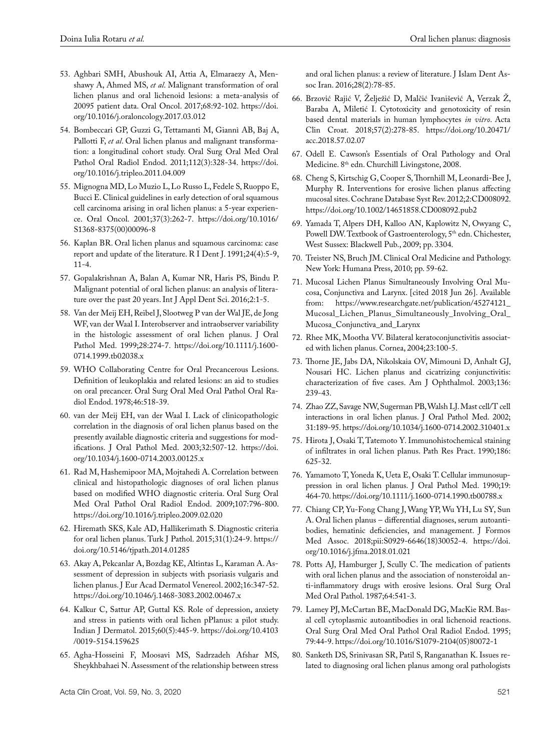- 53. Aghbari SMH, Abushouk AI, Attia A, Elmaraezy A, Menshawy A, Ahmed MS, *et al*. Malignant transformation of oral lichen planus and oral lichenoid lesions: a meta-analysis of 20095 patient data. Oral Oncol. 2017;68:92-102. https://doi. org/10.1016/j.oraloncology.2017.03.012
- 54. Bombeccari GP, Guzzi G, Tettamanti M, Giannì AB, Baj A, Pallotti F, *et al*. Oral lichen planus and malignant transformation: a longitudinal cohort study. Oral Surg Oral Med Oral Pathol Oral Radiol Endod. 2011;112(3):328-34. https://doi. org/10.1016/j.tripleo.2011.04.009
- 55. Mignogna MD, Lo Muzio L, Lo Russo L, Fedele S, Ruoppo E, Bucci E. Clinical guidelines in early detection of oral squamous cell carcinoma arising in oral lichen planus: a 5-year experience. Oral Oncol. 2001;37(3):262-7. https://doi.org/10.1016/ S1368-8375(00)00096-8
- 56. Kaplan BR. Oral lichen planus and squamous carcinoma: case report and update of the literature. R I Dent J. 1991;24(4):5-9, 11-4.
- 57. Gopalakrishnan A, Balan A, Kumar NR, Haris PS, Bindu P. Malignant potential of oral lichen planus: an analysis of literature over the past 20 years. Int J Appl Dent Sci. 2016;2:1-5.
- 58. Van der Meij EH, Reibel J, Slootweg P van der Wal JE, de Jong WF, van der Waal I. Interobserver and intraobserver variability in the histologic assessment of oral lichen planus. J Oral Pathol Med. 1999;28:274-7. https://doi.org/10.1111/j.1600- 0714.1999.tb02038.x
- 59. WHO Collaborating Centre for Oral Precancerous Lesions. Definition of leukoplakia and related lesions: an aid to studies on oral precancer. Oral Surg Oral Med Oral Pathol Oral Radiol Endod. 1978;46:518-39.
- 60. van der Meij EH, van der Waal I. Lack of clinicopathologic correlation in the diagnosis of oral lichen planus based on the presently available diagnostic criteria and suggestions for modifications. J Oral Pathol Med. 2003;32:507-12. https://doi. org/10.1034/j.1600-0714.2003.00125.x
- 61. Rad M, Hashemipoor MA, Mojtahedi A. Correlation between clinical and histopathologic diagnoses of oral lichen planus based on modified WHO diagnostic criteria. Oral Surg Oral Med Oral Pathol Oral Radiol Endod. 2009;107:796-800. https://doi.org/10.1016/j.tripleo.2009.02.020
- 62. Hiremath SKS, Kale AD, Hallikerimath S. Diagnostic criteria for oral lichen planus. Turk J Pathol. 2015;31(1):24-9. https:// doi.org/10.5146/tjpath.2014.01285
- 63. Akay A, Pekcanlar A, Bozdag KE, Altintas L, Karaman A. Assessment of depression in subjects with psoriasis vulgaris and lichen planus. J Eur Acad Dermatol Venereol. 2002;16:347-52. https://doi.org/10.1046/j.1468-3083.2002.00467.x
- 64. Kalkur C, Sattur AP, Guttal KS. Role of depression, anxiety and stress in patients with oral lichen pPlanus: a pilot study. Indian J Dermatol. 2015;60(5):445-9. https://doi.org/10.4103 /0019-5154.159625
- 65. Agha-Hosseini F, Moosavi MS, Sadrzadeh Afshar MS, Sheykhbahaei N. Assessment of the relationship between stress

and oral lichen planus: a review of literature. J Islam Dent Assoc Iran. 2016;28(2):78-85.

- 66. Brzović Rajić V, Želježić D, Malčić Ivanišević A, Verzak Ž, Baraba A, Miletić I. Cytotoxicity and genotoxicity of resin based dental materials in human lymphocytes *in vitro*. Acta Clin Croat. 2018;57(2):278-85. https://doi.org/10.20471/ acc.2018.57.02.07
- 67. Odell E. Cawson's Essentials of Oral Pathology and Oral Medicine. 8<sup>th</sup> edn. Churchill Livingstone, 2008.
- 68. Cheng S, Kirtschig G, Cooper S, Thornhill M, Leonardi-Bee J, Murphy R. Interventions for erosive lichen planus affecting mucosal sites. Cochrane Database Syst Rev. 2012;2:CD008092. https://doi.org/10.1002/14651858.CD008092.pub2
- 69. Yamada T, Alpers DH, Kalloo AN, Kaplowitz N, Owyang C, Powell DW. Textbook of Gastroenterology, 5<sup>th</sup> edn. Chichester, West Sussex: Blackwell Pub., 2009; pp. 3304.
- 70. Treister NS, Bruch JM. Clinical Oral Medicine and Pathology. New York: Humana Press, 2010; pp. 59-62.
- 71. Mucosal Lichen Planus Simultaneously Involving Oral Mucosa, Conjunctiva and Larynx. [cited 2018 Jun 26]. Available from: https://www.researchgate.net/publication/45274121\_ Mucosal\_Lichen\_Planus\_Simultaneously\_Involving\_Oral\_ Mucosa\_Conjunctiva\_and\_Larynx
- 72. Rhee MK, Mootha VV. Bilateral keratoconjunctivitis associated with lichen planus. Cornea, 2004;23:100-5.
- 73. Thorne JE, Jabs DA, Nikolskaia OV, Mimouni D, Anhalt GJ, Nousari HC. Lichen planus and cicatrizing conjunctivitis: characterization of five cases. Am J Ophthalmol. 2003;136: 239-43.
- 74. Zhao ZZ, Savage NW, Sugerman PB, Walsh LJ. Mast cell/T cell interactions in oral lichen planus. J Oral Pathol Med. 2002; 31:189-95. https://doi.org/10.1034/j.1600-0714.2002.310401.x
- 75. Hirota J, Osaki T, Tatemoto Y. Immunohistochemical staining of infiltrates in oral lichen planus. Path Res Pract. 1990;186: 625-32.
- 76. Yamamoto T, Yoneda K, Ueta E, Osaki T. Cellular immunosuppression in oral lichen planus. J Oral Pathol Med. 1990;19: 464-70. https://doi.org/10.1111/j.1600-0714.1990.tb00788.x
- 77. Chiang CP, Yu-Fong Chang J, Wang YP, Wu YH, Lu SY, Sun A. Oral lichen planus – differential diagnoses, serum autoantibodies, hematinic deficiencies, and management. J Formos Med Assoc. 2018;pii:S0929-6646(18)30052-4. https://doi. org/10.1016/j.jfma.2018.01.021
- 78. Potts AJ, Hamburger J, Scully C. The medication of patients with oral lichen planus and the association of nonsteroidal anti-inflammatory drugs with erosive lesions. Oral Surg Oral Med Oral Pathol. 1987;64:541-3.
- 79. Lamey PJ, McCartan BE, MacDonald DG, MacKie RM. Basal cell cytoplasmic autoantibodies in oral lichenoid reactions. Oral Surg Oral Med Oral Pathol Oral Radiol Endod. 1995; 79:44-9. https://doi.org/10.1016/S1079-2104(05)80072-1
- 80. Sanketh DS, Srinivasan SR, Patil S, Ranganathan K. Issues related to diagnosing oral lichen planus among oral pathologists